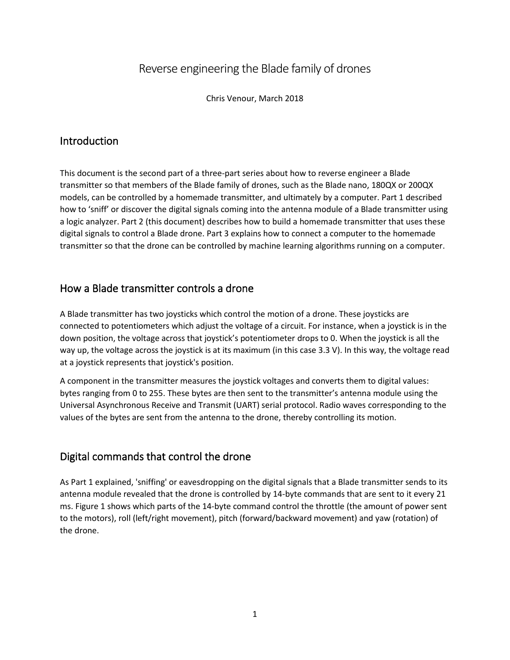# Reverse engineering the Blade family of drones

Chris Venour, March 2018

## Introduction

This document is the second part of a three-part series about how to reverse engineer a Blade transmitter so that members of the Blade family of drones, such as the Blade nano, 180QX or 200QX models, can be controlled by a homemade transmitter, and ultimately by a computer. Part 1 described how to 'sniff' or discover the digital signals coming into the antenna module of a Blade transmitter using a logic analyzer. Part 2 (this document) describes how to build a homemade transmitter that uses these digital signals to control a Blade drone. Part 3 explains how to connect a computer to the homemade transmitter so that the drone can be controlled by machine learning algorithms running on a computer.

## How a Blade transmitter controls a drone

A Blade transmitter has two joysticks which control the motion of a drone. These joysticks are connected to potentiometers which adjust the voltage of a circuit. For instance, when a joystick is in the down position, the voltage across that joystick's potentiometer drops to 0. When the joystick is all the way up, the voltage across the joystick is at its maximum (in this case 3.3 V). In this way, the voltage read at a joystick represents that joystick's position.

A component in the transmitter measures the joystick voltages and converts them to digital values: bytes ranging from 0 to 255. These bytes are then sent to the transmitter's antenna module using the Universal Asynchronous Receive and Transmit (UART) serial protocol. Radio waves corresponding to the values of the bytes are sent from the antenna to the drone, thereby controlling its motion.

#### Digital commands that control the drone

As Part 1 explained, 'sniffing' or eavesdropping on the digital signals that a Blade transmitter sends to its antenna module revealed that the drone is controlled by 14-byte commands that are sent to it every 21 ms. Figure 1 shows which parts of the 14-byte command control the throttle (the amount of power sent to the motors), roll (left/right movement), pitch (forward/backward movement) and yaw (rotation) of the drone.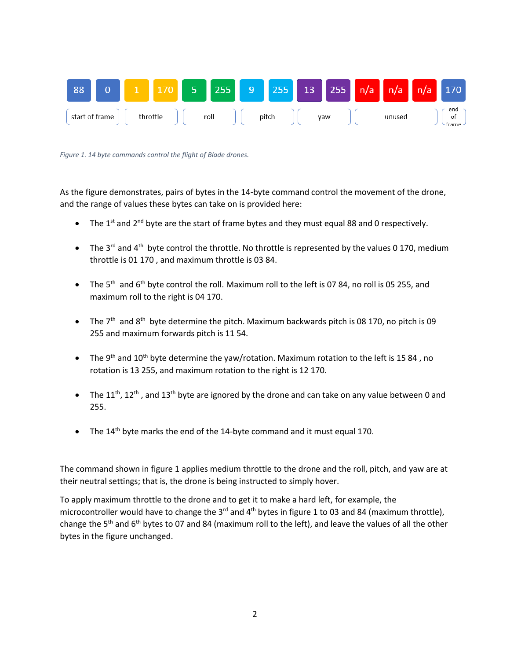

*Figure 1. 14 byte commands control the flight of Blade drones.*

As the figure demonstrates, pairs of bytes in the 14-byte command control the movement of the drone, and the range of values these bytes can take on is provided here:

- The 1<sup>st</sup> and 2<sup>nd</sup> byte are the start of frame bytes and they must equal 88 and 0 respectively.
- The 3<sup>rd</sup> and 4<sup>th</sup> byte control the throttle. No throttle is represented by the values 0 170, medium throttle is 01 170 , and maximum throttle is 03 84.
- The 5<sup>th</sup> and 6<sup>th</sup> byte control the roll. Maximum roll to the left is 07 84, no roll is 05 255, and maximum roll to the right is 04 170.
- The  $7<sup>th</sup>$  and  $8<sup>th</sup>$  byte determine the pitch. Maximum backwards pitch is 08 170, no pitch is 09 255 and maximum forwards pitch is 11 54.
- The 9<sup>th</sup> and 10<sup>th</sup> byte determine the yaw/rotation. Maximum rotation to the left is 15 84, no rotation is 13 255, and maximum rotation to the right is 12 170.
- The 11<sup>th</sup>, 12<sup>th</sup>, and 13<sup>th</sup> byte are ignored by the drone and can take on any value between 0 and 255.
- The  $14<sup>th</sup>$  byte marks the end of the 14-byte command and it must equal 170.

The command shown in figure 1 applies medium throttle to the drone and the roll, pitch, and yaw are at their neutral settings; that is, the drone is being instructed to simply hover.

To apply maximum throttle to the drone and to get it to make a hard left, for example, the microcontroller would have to change the 3<sup>rd</sup> and 4<sup>th</sup> bytes in figure 1 to 03 and 84 (maximum throttle), change the 5<sup>th</sup> and 6<sup>th</sup> bytes to 07 and 84 (maximum roll to the left), and leave the values of all the other bytes in the figure unchanged.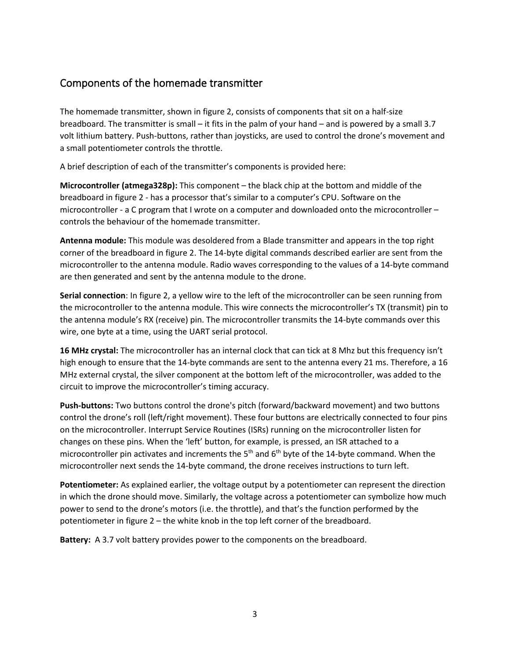## Components of the homemade transmitter

The homemade transmitter, shown in figure 2, consists of components that sit on a half-size breadboard. The transmitter is small – it fits in the palm of your hand – and is powered by a small 3.7 volt lithium battery. Push-buttons, rather than joysticks, are used to control the drone's movement and a small potentiometer controls the throttle.

A brief description of each of the transmitter's components is provided here:

**Microcontroller (atmega328p):** This component – the black chip at the bottom and middle of the breadboard in figure 2 - has a processor that's similar to a computer's CPU. Software on the microcontroller - a C program that I wrote on a computer and downloaded onto the microcontroller – controls the behaviour of the homemade transmitter.

**Antenna module:** This module was desoldered from a Blade transmitter and appears in the top right corner of the breadboard in figure 2. The 14-byte digital commands described earlier are sent from the microcontroller to the antenna module. Radio waves corresponding to the values of a 14-byte command are then generated and sent by the antenna module to the drone.

**Serial connection**: In figure 2, a yellow wire to the left of the microcontroller can be seen running from the microcontroller to the antenna module. This wire connects the microcontroller's TX (transmit) pin to the antenna module's RX (receive) pin. The microcontroller transmits the 14-byte commands over this wire, one byte at a time, using the UART serial protocol.

**16 MHz crystal:** The microcontroller has an internal clock that can tick at 8 Mhz but this frequency isn't high enough to ensure that the 14-byte commands are sent to the antenna every 21 ms. Therefore, a 16 MHz external crystal, the silver component at the bottom left of the microcontroller, was added to the circuit to improve the microcontroller's timing accuracy.

**Push-buttons:** Two buttons control the drone's pitch (forward/backward movement) and two buttons control the drone's roll (left/right movement). These four buttons are electrically connected to four pins on the microcontroller. Interrupt Service Routines (ISRs) running on the microcontroller listen for changes on these pins. When the 'left' button, for example, is pressed, an ISR attached to a microcontroller pin activates and increments the  $5<sup>th</sup>$  and  $6<sup>th</sup>$  byte of the 14-byte command. When the microcontroller next sends the 14-byte command, the drone receives instructions to turn left.

**Potentiometer:** As explained earlier, the voltage output by a potentiometer can represent the direction in which the drone should move. Similarly, the voltage across a potentiometer can symbolize how much power to send to the drone's motors (i.e. the throttle), and that's the function performed by the potentiometer in figure 2 – the white knob in the top left corner of the breadboard.

**Battery:** A 3.7 volt battery provides power to the components on the breadboard.